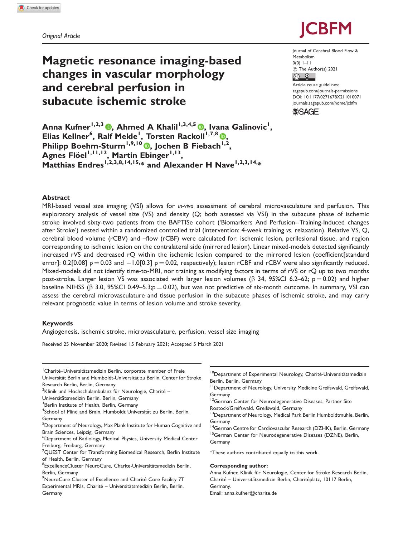# Magnetic resonance imaging-based changes in vascular morphology and cerebral perfusion in subacute ischemic stroke



Journal of Cerebral Blood Flow & Metabolism  $0(0)$  1–11 ! The Author(s) 2021  $\circ$   $\circ$ Article reuse guidelines:

[sagepub.com/journals-permissions](http://uk.sagepub.com/en-gb/journals-permissions) [DOI: 10.1177/0271678X211010071](http://dx.doi.org/10.1177/0271678X211010071) <journals.sagepub.com/home/jcbfm>



Anna Kufner<sup>1[,](https://orcid.org/0000-0003-1752-4305)2,3</sup> (®, Ahmed A Khalil<sup>1,3,4,5</sup> ®, Ivana Galinovic<sup>1</sup>, Elias Kellner<sup>6</sup>, Ralf Mekle<sup>1</sup>, Torsten Rackoll<sup>1,7,8</sup> (D, Philipp Boehm-Sturm<sup>1[,](https://orcid.org/0000-0001-8777-4823)9,10</sup> , Jochen B Fiebach<sup>1,2</sup>, Agnes Flöel<sup>1,11,12</sup>, Martin Ebinger<sup>1,13</sup>, Matthias Endres<sup>1,2,3,8,14,15,\*</sup> and Alexander H Nave<sup>1,2,3,14,\*</sup>

## Abstract

MRI-based vessel size imaging (VSI) allows for in-vivo assessment of cerebral microvasculature and perfusion. This exploratory analysis of vessel size (VS) and density (Q; both assessed via VSI) in the subacute phase of ischemic stroke involved sixty-two patients from the BAPTISe cohort ('Biomarkers And Perfusion--Training-Induced changes after Stroke') nested within a randomized controlled trial (intervention: 4-week training vs. relaxation). Relative VS, Q, cerebral blood volume (rCBV) and –flow (rCBF) were calculated for: ischemic lesion, perilesional tissue, and region corresponding to ischemic lesion on the contralateral side (mirrored lesion). Linear mixed-models detected significantly increased rVS and decreased rQ within the ischemic lesion compared to the mirrored lesion (coefficient[standard error]: 0.2[0.08] p  $=$  0.03 and  $-$  1.0[0.3] p  $=$  0.02, respectively); lesion rCBF and rCBV were also significantly reduced. Mixed-models did not identify time-to-MRI, nor training as modifying factors in terms of rVS or rQ up to two months post-stroke. Larger lesion VS was associated with larger lesion volumes ( $\beta$  34, 95%Cl 6.2–62; p = 0.02) and higher baseline NIHSS ( $\beta$  3.0, 95%CI 0.49–5.3;p = 0.02), but was not predictive of six-month outcome. In summary, VSI can assess the cerebral microvasculature and tissue perfusion in the subacute phases of ischemic stroke, and may carry relevant prognostic value in terms of lesion volume and stroke severity.

## Keywords

Angiogenesis, ischemic stroke, microvasculature, perfusion, vessel size imaging

Received 25 November 2020; Revised 15 February 2021; Accepted 5 March 2021

<sup>1</sup> Charité-Universitätsmedizin Berlin, corporate member of Freie Universität Berlin and Humboldt-Universität zu Berlin, Center for Stroke

Research Berlin, Berlin, Germany  $^{2}$ Klinik und Hochschulambulanz für Neurologie, Charité –

Universitätsmedizin Berlin, Berlin, Germany

<sup>3</sup>Berlin Institute of Health, Berlin, Germany

<sup>4</sup>School of Mind and Brain, Humboldt Universität zu Berlin, Berlin, Germany

 $^5$ Department of Neurology, Max Plank Institute for Human Cognitive and Brain Sciences, Leipzig, Germany

6 Department of Radiology, Medical Physics, University Medical Center Freiburg, Freiburg, Germany

 $\mathrm{^{7}QUEST}$  Center for Transforming Biomedical Research, Berlin Institute of Health, Berlin, Germany

<sup>8</sup>ExcellenceCluster NeuroCure, Charite-Universitätsmedizin Berlin, Berlin, Germany

<sup>9</sup>NeuroCure Cluster of Excellence and Charité Core Facility 7T Experimental MRIs, Charité - Universitätsmedizin Berlin, Berlin, Germany

<sup>10</sup>Department of Experimental Neurology, Charité-Universitätsmedizin Berlin, Berlin, Germany

<sup>11</sup> Department of Neurology, University Medicine Greifswald, Greifswald, Germany

<sup>12</sup>German Center for Neurodegenerative Diseases, Partner Site Rostock/Greifswald, Greifswald, Germany

<sup>13</sup>Department of Neurology, Medical Park Berlin Humboldtmühle, Berlin, Germany

<sup>14</sup>German Centre for Cardiovascular Research (DZHK), Berlin, Germany <sup>15</sup>German Center for Neurodegenerative Diseases (DZNE), Berlin, Germany

\*These authors contributed equally to this work.

#### Corresponding author:

Anna Kufner, Klinik für Neurologie, Center for Stroke Research Berlin, Charité – Universitätsmedizin Berlin, Charitéplatz, 10117 Berlin, Germany. Email: [anna.kufner@charite.de](mailto:anna.kufner@charite.de)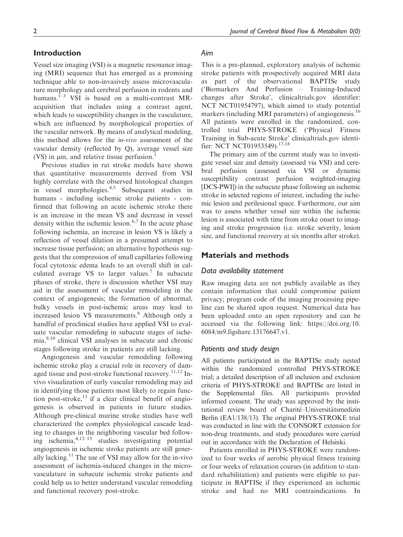# Introduction

Vessel size imaging (VSI) is a magnetic resonance imaging (MRI) sequence that has emerged as a promising technique able to non-invasively assess microvasculature morphology and cerebral perfusion in rodents and humans.<sup>1-3</sup> VSI is based on a multi-contrast MRacquisition that includes using a contrast agent, which leads to susceptibility changes in the vasculature, which are influenced by morphological properties of the vascular network. By means of analytical modeling, this method allows for the in-vivo assessment of the vascular density (reflected by Q), average vessel size (VS) in  $\mu$ m, and relative tissue perfusion.<sup>1</sup>

Previous studies in rat stroke models have shown that quantitative measurements derived from VSI highly correlate with the observed histological changes in vessel morphologies.4,5 Subsequent studies in humans - including ischemic stroke patients - confirmed that following an acute ischemic stroke there is an increase in the mean VS and decrease in vessel density within the ischemic lesion.<sup>6,7</sup> In the acute phase following ischemia, an increase in lesion VS is likely a reflection of vessel dilation in a presumed attempt to increase tissue perfusion; an alternative hypothesis suggests that the compression of small capillaries following focal cytotoxic edema leads to an overall shift in calculated average VS to larger values.<sup>7</sup> In subacute phases of stroke, there is discussion whether VSI may aid in the assessment of vascular remodeling in the context of angiogenesis; the formation of abnormal, bulky vessels in post-ischemic areas may lead to increased lesion VS measurements.<sup>8</sup> Although only a handful of preclinical studies have applied VSI to evaluate vascular remodeling in subacute stages of ischemia,<sup>9,10</sup> clinical VSI analyses in subacute and chronic stages following stroke in patients are still lacking.

Angiogenesis and vascular remodeling following ischemic stroke play a crucial role in recovery of damaged tissue and post-stroke functional recovery.<sup>11,12</sup> Invivo visualization of early vascular remodeling may aid in identifying those patients most likely to regain function post-stroke, $^{13}$  if a clear clinical benefit of angiogenesis is observed in patients in future studies. Although pre-clinical murine stroke studies have well characterized the complex physiological cascade leading to changes in the neighboring vascular bed following ischemia, $4,12-15$  studies investigating potential angiogenesis in ischemic stroke patients are still generally lacking.<sup>11</sup> The use of VSI may allow for the in-vivo assessment of ischemia-induced changes in the microvasculature in subacute ischemic stroke patients and could help us to better understand vascular remodeling and functional recovery post-stroke.

## Aim

This is a pre-planned, exploratory analysis of ischemic stroke patients with prospectively acquired MRI data as part of the observational BAPTISe study ('Biomarkers And Perfusion – Training-Induced changes after Stroke', clinicaltrials.gov identifier: NCT NCT01954797), which aimed to study potential markers (including MRI parameters) of angiogenesis.<sup>16</sup> All patients were enrolled in the randomized, controlled trial PHYS-STROKE ('Physical Fitness Training in Sub-acute Stroke' clinicaltrials.gov identifier: NCT NCT01953549).<sup>17,18</sup>

The primary aim of the current study was to investigate vessel size and density (assessed via VSI) and cerebral perfusion (assessed via VSI or dynamic susceptibility contrast perfusion weighted-imaging [DCS-PWI]) in the subacute phase following an ischemic stroke in selected regions of interest, including the ischemic lesion and perilesional space. Furthermore, our aim was to assess whether vessel size within the ischemic lesion is associated with time from stroke onset to imaging and stroke progression (i.e. stroke severity, lesion size, and functional recovery at six months after stroke).

## Materials and methods

### Data availability statement

Raw imaging data are not publicly available as they contain information that could compromise patient privacy; program code of the imaging processing pipeline can be shared upon request. Numerical data has been uploaded onto an open repository and can be accessed via the following link: [https://doi.org/10.](https://doi.org/10.6084/m9.figshare.13176647.v1) [6084/m9.figshare.13176647.v1](https://doi.org/10.6084/m9.figshare.13176647.v1).

#### Patients and study design

All patients participated in the BAPTISe study nested within the randomized controlled PHYS-STROKE trial; a detailed description of all inclusion and exclusion criteria of PHYS-STROKE and BAPTISe are listed in the Supplemental files. All participants provided informed consent. The study was approved by the institutional review board of Charité-Universitätsmedizin Berlin (EA1/138/13). The original PHYS-STROKE trial was conducted in line with the CONSORT extension for non-drug treatments, and study procedures were carried out in accordance with the Declaration of Helsinki.

Patients enrolled in PHYS-STROKE were randomized to four weeks of aerobic physical fitness training or four weeks of relaxation courses (in addition to standard rehabilitation) and patients were eligible to participate in BAPTISe if they experienced an ischemic stroke and had no MRI contraindications. In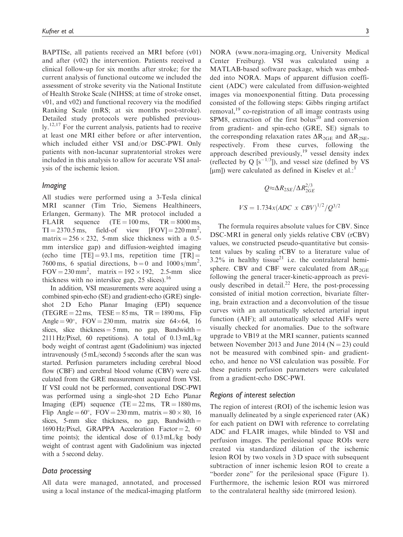BAPTISe, all patients received an MRI before (v01) and after (v02) the intervention. Patients received a clinical follow-up for six months after stroke; for the current analysis of functional outcome we included the assessment of stroke severity via the National Institute of Health Stroke Scale (NIHSS; at time of stroke onset, v01, and v02) and functional recovery via the modified Ranking Scale (mRS; at six months post-stroke). Detailed study protocols were published previous- $\rm Iy$ ,  $^{12,17}$  For the current analysis, patients had to receive at least one MRI either before or after intervention, which included either VSI and/or DSC-PWI. Only patients with non-lacunar supratentorial strokes were included in this analysis to allow for accurate VSI analysis of the ischemic lesion.

### Imaging

All studies were performed using a 3-Tesla clinical MRI scanner (Tim Trio, Siemens Healthineers, Erlangen, Germany). The MR protocol included a FLAIR sequence  $(TE = 100 \text{ ms}, TR = 8000 \text{ ms},$ <br>TI = 2370.5 ms, field-of view  $[FOV] = 220 \text{ mm}^2$ ,  $TI = 2370.5$  ms, field-of view  $[FOV] = 220$  mm<sup>2</sup>, matrix =  $256 \times 232$ , 5-mm slice thickness with a 0.5mm interslice gap) and diffusion-weighted imaging (echo time  $[TE] = 93.1$  ms, repetition time  $[TR] =$ 7600 ms, 6 spatial directions,  $\bar{b} = 0$  and 1000 s/mm<sup>2</sup>,  $FOV = 230$  mm<sup>2</sup>, matrix =  $192 \times 192$ , 2.5-mm slice thickness with no interslice gap,  $25$  slices).<sup>16</sup>

In addition, VSI measurements were acquired using a combined spin-echo (SE) and gradient-echo (GRE) singleshot 2D Echo Planar Imaging (EPI) sequence  $(TEGRE = 22 \text{ ms}, TESE = 85 \text{ ms}, TR = 1890 \text{ ms}, Filip$ Angle =  $90^{\circ}$ , FOV = 230 mm, matrix size 64 $\times$ 64, 16 slices, slice thickness =  $5 \text{ mm}$ , no gap, Bandwidth = 2111 Hz/Pixel, 60 repetitions). A total of 0.13 mL/kg body weight of contrast agent (Gadolinium) was injected intravenously (5 mL/second) 5 seconds after the scan was started. Perfusion parameters including cerebral blood flow (CBF) and cerebral blood volume (CBV) were calculated from the GRE measurement acquired from VSI. If VSI could not be performed, conventional DSC-PWI was performed using a single-shot 2D Echo Planar Imaging (EPI) sequence (TE =  $22 \text{ ms}$ , TR =  $1880 \text{ ms}$ , Flip Angle =  $60^\circ$ , FOV = 230 mm, matrix =  $80 \times 80$ , 16 slices, 5-mm slice thickness, no gap, Bandwidth  $=$  $1690$  Hz/Pixel, GRAPPA Acceleration Factor = 2, 60 time points); the identical dose of 0.13 mL/kg body weight of contrast agent with Gadolinium was injected with a 5 second delay.

#### Data processing

All data were managed, annotated, and processed using a local instance of the medical-imaging platform

NORA ([www.nora-imaging.org,](http://www.nora-imaging.org) University Medical Center Freiburg). VSI was calculated using a MATLAB-based software package, which was embedded into NORA. Maps of apparent diffusion coefficient (ADC) were calculated from diffusion-weighted images via monoexponential fitting. Data processing consisted of the following steps: Gibbs ringing artifact removal, $^{19}$  co-registration of all image contrasts using SPM8, extraction of the first bolus<sup>20</sup> and conversion from gradient- and spin-echo (GRE, SE) signals to the corresponding relaxation rates  $\Delta R_{2GE}$  and  $\Delta R_{2SE}$ , respectively. From these curves, following the approach described previously,<sup>19</sup> vessel density index (reflected by Q  $[s^{-1/3}]$ ), and vessel size (defined by VS [µm]) were calculated as defined in Kiselev et al.:<sup>1</sup>

$$
Q \approx \Delta R_{2SE} / \Delta R_{2GE}^{2/3}
$$
  

$$
VS = 1.734x (ADC \times CBV)^{1/2} / Q^{3/2}
$$

The formula requires absolute values for CBV. Since DSC-MRI in general only yields relative CBV (rCBV) values, we constructed pseudo-quantitative but consistent values by scaling rCBV to a literature value of  $3.2\%$  in healthy tissue<sup>21</sup> i.e. the contralateral hemisphere. CBV and CBF were calculated from  $\Delta R_{2GF}$ following the general tracer-kinetic-approach as previously described in detail.<sup>22</sup> Here, the post-processing consisted of initial motion correction, bivariate filtering, brain extraction and a deconvolution of the tissue curves with an automatically selected arterial input function (AIF); all automatically selected AIFs were visually checked for anomalies. Due to the software upgrade to VB19 at the MRI scanner, patients scanned between November 2013 and June 2014 ( $N = 23$ ) could not be measured with combined spin- and gradientecho, and hence no VSI calculation was possible. For these patients perfusion parameters were calculated from a gradient-echo DSC-PWI.

## Regions of interest selection

The region of interest (ROI) of the ischemic lesion was manually delineated by a single experienced rater (AK) for each patient on DWI with reference to correlating ADC and FLAIR images, while blinded to VSI and perfusion images. The perilesional space ROIs were created via standardized dilation of the ischemic lesion ROI by two voxels in 3 D space with subsequent subtraction of inner ischemic lesion ROI to create a "border zone" for the perilesional space (Figure 1). Furthermore, the ischemic lesion ROI was mirrored to the contralateral healthy side (mirrored lesion).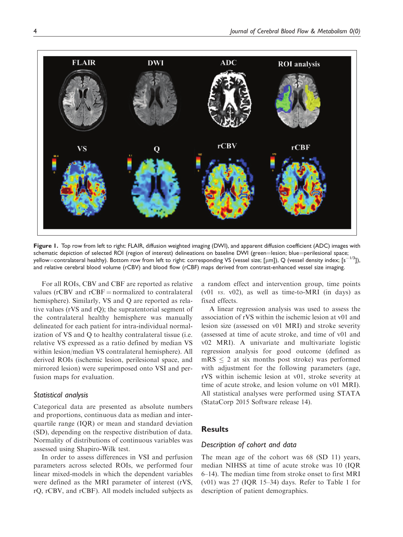

Figure 1. Top row from left to right: FLAIR, diffusion weighted imaging (DWI), and apparent diffusion coefficient (ADC) images with schematic depiction of selected ROI (region of interest) delineations on baseline DWI (green=lesion; blue=perilesional space; yellow=contralateral healthy). Bottom row from left to right: corresponding VS (vessel size; [µm]), Q (vessel density index; [s $^{-1/3}$ ]), and relative cerebral blood volume (rCBV) and blood flow (rCBF) maps derived from contrast-enhanced vessel size imaging.

For all ROIs, CBV and CBF are reported as relative values ( $rCBV$  and  $rCBF =$  normalized to contralateral hemisphere). Similarly, VS and Q are reported as relative values (rVS and rQ); the supratentorial segment of the contralateral healthy hemisphere was manually delineated for each patient for intra-individual normalization of VS and Q to healthy contralateral tissue (i.e. relative VS expressed as a ratio defined by median VS within lesion/median VS contralateral hemisphere). All derived ROIs (ischemic lesion, perilesional space, and mirrored lesion) were superimposed onto VSI and perfusion maps for evaluation.

## Statistical analysis

Categorical data are presented as absolute numbers and proportions, continuous data as median and interquartile range (IQR) or mean and standard deviation (SD), depending on the respective distribution of data. Normality of distributions of continuous variables was assessed using Shapiro-Wilk test.

In order to assess differences in VSI and perfusion parameters across selected ROIs, we performed four linear mixed-models in which the dependent variables were defined as the MRI parameter of interest (rVS, rQ, rCBV, and rCBF). All models included subjects as

a random effect and intervention group, time points (v01 vs. v02), as well as time-to-MRI (in days) as fixed effects.

A linear regression analysis was used to assess the association of rVS within the ischemic lesion at v01 and lesion size (assessed on v01 MRI) and stroke severity (assessed at time of acute stroke, and time of v01 and v02 MRI). A univariate and multivariate logistic regression analysis for good outcome (defined as  $mRS \leq 2$  at six months post stroke) was performed with adjustment for the following parameters (age, rVS within ischemic lesion at v01, stroke severity at time of acute stroke, and lesion volume on v01 MRI). All statistical analyses were performed using STATA (StataCorp 2015 Software release 14).

# **Results**

#### Description of cohort and data

The mean age of the cohort was 68 (SD 11) years, median NIHSS at time of acute stroke was 10 (IQR 6–14). The median time from stroke onset to first MRI  $(v01)$  was 27 (IQR 15–34) days. Refer to Table 1 for description of patient demographics.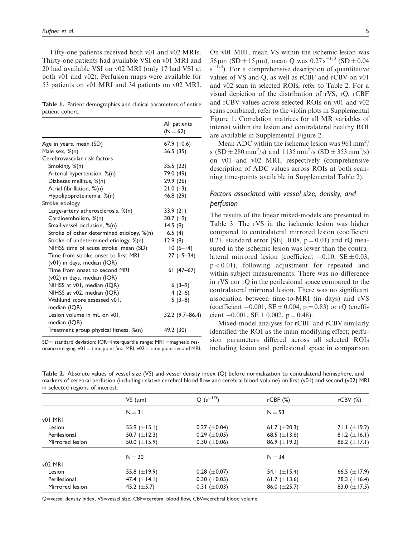Fifty-one patients received both v01 and v02 MRIs. Thirty-one patients had available VSI on v01 MRI and 20 had available VSI on v02 MRI (only 17 had VSI at both v01 and v02). Perfusion maps were available for 53 patients on v01 MRI and 34 patients on v02 MRI.

|                 |  | Table 1. Patient demographics and clinical parameters of entire |  |  |  |
|-----------------|--|-----------------------------------------------------------------|--|--|--|
| patient cohort. |  |                                                                 |  |  |  |

|                                             | All patients<br>$(N = 62)$ |
|---------------------------------------------|----------------------------|
| Age in years, mean (SD)                     | 67.9 (10.6)                |
| Male sex, %(n)                              | 56.5 (35)                  |
| Cerebrovascular risk factors                |                            |
| Smoking, %(n)                               | 35.5 (22)                  |
| Arterial hypertension, %(n)                 | 79.0 (49)                  |
| Diabetes mellitus, %(n)                     | 29.9 (26)                  |
| Atrial fibrillation, %(n)                   | 21.0(13)                   |
| Hypolipoproteinemia, %(n)                   | 46.8 (29)                  |
| Stroke etiology                             |                            |
| Large-artery atherosclerosis, %(n)          | 33.9 (21)                  |
| Cardioembolism, %(n)                        | 30.7 (19)                  |
| Small-vessel occlusion, %(n)                | 14.5(9)                    |
| Stroke of other determined etiology, %(n)   | 6.5(4)                     |
| Stroke of undetermined etiology, %(n)       | 12.9(8)                    |
| NIHSS time of acute stroke, mean (SD)       | $10(6-14)$                 |
| Time from stroke onset to first MRI         | $27(15-34)$                |
| $(v01)$ in days, median $(IQR)$             |                            |
| Time from onset to second MRI               | $61(47-67)$                |
| $(v02)$ in days, median $(IQR)$             |                            |
| NIHSS at v01, median (IQR)                  | $6(3-9)$                   |
| NIHSS at v02, median (IQR)                  | $4(2-6)$                   |
| Wahlund score assessed v01,                 | $5(3-8)$                   |
| median (IQR)                                |                            |
| Lesion volume in mL on v01,<br>median (IQR) | 32.2 (9.7-86.4)            |
| Treatment group physical fitness, %(n)      | 49.2 (30)                  |

 $SD =$  standard deviation; IQR=interquartile range; MRI = magnetic resonance imaging;  $v01 =$  time point first MRI,  $v02 =$  time point second MRI.

On v01 MRI, mean VS within the ischemic lesion was  $56 \mu m$  (SD  $\pm 15 \mu m$ ), mean Q was  $0.27 \text{ s}^{-1/3}$  (SD  $\pm 0.04$ )  $s^{-1/3}$ ). For a comprehensive description of quantitative values of VS and Q, as well as rCBF and rCBV on v01 and v02 scan in selected ROIs, refer to Table 2. For a visual depiction of the distribution of rVS, rQ, rCBF and rCBV values across selected ROIs on v01 and v02 scans combined, refer to the violin plots in Supplemental Figure 1. Correlation matrices for all MR variables of interest within the lesion and contralateral healthy ROI are available in Supplemental Figure 2.

Mean ADC within the ischemic lesion was 961 mm<sup>2</sup>/ s  $(SD \pm 280 \text{ mm}^2/\text{s})$  and  $1135 \text{ mm}^2/\text{s}$   $(SD \pm 353 \text{ mm}^2/\text{s})$ on v01 and v02 MRI, respectively (comprehensive description of ADC values across ROIs at both scanning time-points available in Supplemental Table 2).

# Factors associated with vessel size, density, and perfusion

The results of the linear mixed-models are presented in Table 3. The rVS in the ischemic lesion was higher compared to contralateral mirrored lesion (coefficient 0.21, standard error [SE] $\pm$ 0.08, p = 0.01) and rQ measured in the ischemic lesion was lower than the contralateral mirrored lesion (coefficient  $-0.10$ ,  $SE \pm 0.03$ ,  $p < 0.01$ ), following adjustment for repeated and within-subject measurements. There was no difference in rVS nor rQ in the perilesional space compared to the contralateral mirrored lesion. There was no significant association between time-to-MRI (in days) and rVS (coefficient  $-0.001$ ,  $SE \pm 0.004$ ,  $p = 0.83$ ) or rQ (coefficient  $-0.001$ , SE  $\pm$  0.002, p = 0.48).

Mixed-model analyses for rCBF and rCBV similarly identified the ROI as the main modifying effect; perfusion parameters differed across all selected ROIs including lesion and perilesional space in comparison

Table 2. Absolute values of vessel size (VS) and vessel density index (Q) before normalization to contralateral hemisphere, and markers of cerebral perfusion (including relative cerebral blood flow and cerebral blood volume) on first (v01) and second (v02) MRI in selected regions of interest.

|                 | $VS$ ( $µm$ )     | $Q(s^{-1/3})$       | rCBF(%)           | $r$ CBV $(%)$     |
|-----------------|-------------------|---------------------|-------------------|-------------------|
|                 | $N = 31$          |                     | $N = 53$          |                   |
| v01 MRI         |                   |                     |                   |                   |
| Lesion          | 55.9 $(\pm 15.1)$ | $0.27~(\pm 0.04)$   | 61.7 $(\pm 20.3)$ | 71.1 $(\pm 19.2)$ |
| Perilesional    | 50.7 $(\pm 12.3)$ | $0.29 \ (\pm 0.05)$ | 68.5 $(\pm 13.6)$ | 81.2 $(\pm 16.1)$ |
| Mirrored lesion | 50.0 $(\pm 15.9)$ | 0.30 $(\pm 0.06)$   | 86.9 $(\pm 19.2)$ | 86.2 $(\pm 17.1)$ |
|                 | $N = 20$          |                     | $N = 34$          |                   |
| <b>v02 MRI</b>  |                   |                     |                   |                   |
| Lesion          | 55.8 $(\pm 19.9)$ | $0.28~(\pm 0.07)$   | 54.1 $(\pm 15.4)$ | 66.5 $(\pm 17.9)$ |
| Perilesional    | 47.4 $(\pm 14.1)$ | $0.30~(\pm 0.05)$   | 61.7 $(\pm 13.6)$ | 78.3 $(\pm 16.4)$ |
| Mirrored lesion | 45.2 $(\pm 5.7)$  | $0.31 \ (\pm 0.03)$ | 86.0 $(\pm 25.7)$ | 83.0 $(\pm 17.5)$ |
|                 |                   |                     |                   |                   |

Q=vessel density index, VS=vessel size, CBF=cerebral blood flow, CBV=cerebral blood volume.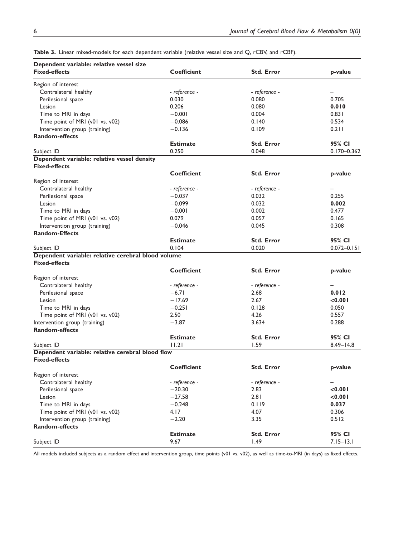| Dependent variable: relative vessel size           |                    |                   |                 |
|----------------------------------------------------|--------------------|-------------------|-----------------|
| <b>Fixed-effects</b>                               | <b>Coefficient</b> | <b>Std. Error</b> | p-value         |
| Region of interest                                 |                    |                   |                 |
| Contralateral healthy                              | - reference -      | - reference -     |                 |
| Perilesional space                                 | 0.030              | 0.080             | 0.705           |
| Lesion                                             | 0.206              | 0.080             | 0.010           |
| Time to MRI in days                                | $-0.001$           | 0.004             | 0.831           |
| Time point of MRI (v01 vs. v02)                    | $-0.086$           | 0.140             | 0.534           |
| Intervention group (training)                      | $-0.136$           | 0.109             | 0.211           |
| <b>Random-effects</b>                              |                    |                   |                 |
|                                                    | <b>Estimate</b>    | <b>Std. Error</b> | 95% CI          |
| Subject ID                                         | 0.250              | 0.048             | $0.170 - 0.362$ |
| Dependent variable: relative vessel density        |                    |                   |                 |
| <b>Fixed-effects</b>                               |                    |                   |                 |
|                                                    | <b>Coefficient</b> | <b>Std. Error</b> | p-value         |
| Region of interest                                 |                    |                   |                 |
| Contralateral healthy                              | - reference -      | - reference -     |                 |
| Perilesional space                                 | $-0.037$           | 0.032             | 0.255           |
| Lesion                                             | $-0.099$           | 0.032             | 0.002           |
| Time to MRI in days                                | $-0.001$           | 0.002             | 0.477           |
| Time point of MRI (v01 vs. v02)                    | 0.079              | 0.057             | 0.165           |
| Intervention group (training)                      | $-0.046$           | 0.045             | 0.308           |
| <b>Random-Effects</b>                              |                    |                   |                 |
|                                                    | <b>Estimate</b>    | <b>Std. Error</b> | 95% CI          |
| Subject ID                                         | 0.104              | 0.020             | $0.072 - 0.151$ |
| Dependent variable: relative cerebral blood volume |                    |                   |                 |
| <b>Fixed-effects</b>                               |                    |                   |                 |
|                                                    | <b>Coefficient</b> | <b>Std. Error</b> | p-value         |
| Region of interest                                 |                    |                   |                 |
| Contralateral healthy                              | - reference -      | - reference -     |                 |
| Perilesional space                                 | $-6.71$            | 2.68              | 0.012           |
| Lesion                                             | $-17.69$           | 2.67              | < 0.001         |
| Time to MRI in days                                | $-0.251$           | 0.128             | 0.050           |
| Time point of MRI (v01 vs. v02)                    | 2.50               | 4.26              | 0.557           |
| Intervention group (training)                      | $-3.87$            | 3.634             | 0.288           |
| <b>Random-effects</b>                              |                    |                   |                 |
|                                                    | <b>Estimate</b>    | <b>Std. Error</b> | 95% CI          |
| Subject ID                                         | 11.21              | 1.59              | $8.49 - 14.8$   |
| Dependent variable: relative cerebral blood flow   |                    |                   |                 |
| <b>Fixed-effects</b>                               |                    |                   |                 |
|                                                    | <b>Coefficient</b> | <b>Std. Error</b> | p-value         |
| Region of interest                                 |                    |                   |                 |
| Contralateral healthy                              | - reference -      | - reference -     | -               |
| Perilesional space                                 | $-20.30$           | 2.83              | $<$ 0.00        |
| Lesion                                             | $-27.58$           | 2.81              | < 0.001         |
| Time to MRI in days                                | $-0.248$           | 0.119             | 0.037           |
| Time point of MRI (v01 vs. v02)                    | 4.17               | 4.07              | 0.306           |
| Intervention group (training)                      | $-2.20$            | 3.35              | 0.512           |
| <b>Random-effects</b>                              |                    |                   |                 |
|                                                    | <b>Estimate</b>    | <b>Std. Error</b> | 95% CI          |
| Subject ID                                         | 9.67               | 1.49              | $7.15 - 13.1$   |
|                                                    |                    |                   |                 |

Table 3. Linear mixed-models for each dependent variable (relative vessel size and Q, rCBV, and rCBF).

All models included subjects as a random effect and intervention group, time points (v01 vs. v02), as well as time-to-MRI (in days) as fixed effects.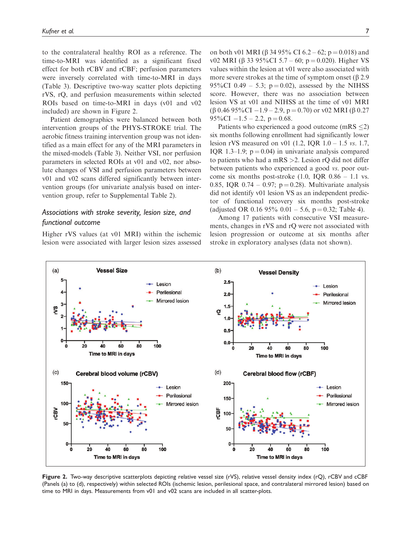to the contralateral healthy ROI as a reference. The time-to-MRI was identified as a significant fixed effect for both rCBV and rCBF; perfusion parameters were inversely correlated with time-to-MRI in days (Table 3). Descriptive two-way scatter plots depicting rVS, rQ, and perfusion measurements within selected ROIs based on time-to-MRI in days (v01 and v02 included) are shown in Figure 2.

Patient demographics were balanced between both intervention groups of the PHYS-STROKE trial. The aerobic fitness training intervention group was not identified as a main effect for any of the MRI parameters in the mixed-models (Table 3). Neither VSI, nor perfusion parameters in selected ROIs at v01 and v02, nor absolute changes of VSI and perfusion parameters between v01 and v02 scans differed significantly between intervention groups (for univariate analysis based on intervention group, refer to Supplemental Table 2).

# Associations with stroke severity, lesion size, and functional outcome

Higher rVS values (at v01 MRI) within the ischemic lesion were associated with larger lesion sizes assessed on both v01 MRI ( $\beta$  34 95% CI 6.2 – 62; p = 0.018) and v02 MRI (β 33 95%CI 5.7 – 60; p = 0.020). Higher VS values within the lesion at v01 were also associated with more severe strokes at the time of symptom onset  $(\beta 2.9)$ 95%CI 0.49 – 5.3;  $p = 0.02$ ), assessed by the NIHSS score. However, there was no association between lesion VS at v01 and NIHSS at the time of v01 MRI (β 0.46 95%CI – 1.9 – 2.9, p = 0.70) or v02 MRI (β 0.27  $95\%$ CI  $-1.5 - 2.2$ , p = 0.68.

Patients who experienced a good outcome (mRS  $\leq$ 2) six months following enrollment had significantly lower lesion rVS measured on v01 (1.2, IQR 1.0 – 1.5 vs. 1.7, IQR 1.3–1.9;  $p = 0.04$ ) in univariate analysis compared to patients who had a mRS >2. Lesion rQ did not differ between patients who experienced a good vs. poor outcome six months post-stroke  $(1.0, IQR 0.86 - 1.1$  vs. 0.85, IQR 0.74 – 0.97;  $p = 0.28$ ). Multivariate analysis did not identify v01 lesion VS as an independent predictor of functional recovery six months post-stroke (adjusted OR 0.16 95% 0.01 – 5.6,  $p = 0.32$ ; Table 4).

Among 17 patients with consecutive VSI measurements, changes in rVS and rQ were not associated with lesion progression or outcome at six months after stroke in exploratory analyses (data not shown).



Figure 2. Two-way descriptive scatterplots depicting relative vessel size (rVS), relative vessel density index (rQ), rCBV and cCBF (Panels (a) to (d), respectively) within selected ROIs (ischemic lesion, perilesional space, and contralateral mirrored lesion) based on time to MRI in days. Measurements from v01 and v02 scans are included in all scatter-plots.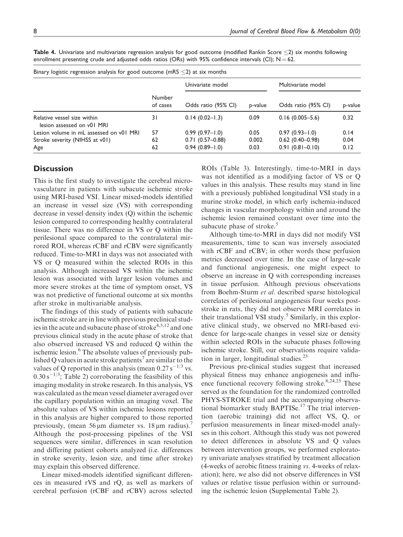| Binary logistic regression analysis for good outcome (mRS $\leq$ 2) at six months |                     |         |                     |         |  |  |  |
|-----------------------------------------------------------------------------------|---------------------|---------|---------------------|---------|--|--|--|
| <b>Number</b><br>of cases                                                         | Univariate model    |         | Multivariate model  |         |  |  |  |
|                                                                                   | Odds ratio (95% CI) | p-value | Odds ratio (95% CI) | p-value |  |  |  |
| 31                                                                                | $0.14(0.02 - 1.3)$  | 0.09    | $0.16(0.005 - 5.6)$ | 0.32    |  |  |  |
| 57                                                                                | $0.99(0.97 - 1.0)$  | 0.05    | $0.97(0.93 - 1.0)$  | 0.14    |  |  |  |
| 62                                                                                | $0.71(0.57-0.88)$   | 0.002   | $0.62$ (0.40-0.98)  | 0.04    |  |  |  |
| 62                                                                                | $0.94(0.89 - 1.0)$  | 0.03    | $0.91(0.81 - 0.10)$ | 0.12    |  |  |  |
|                                                                                   |                     |         |                     |         |  |  |  |

Table 4. Univariate and multivariate regression analysis for good outcome (modified Rankin Score  $\leq$ 2) six months following enrollment presenting crude and adjusted odds ratios (ORs) with 95% confidence intervals (CI);  $N = 62$ .

## **Discussion**

This is the first study to investigate the cerebral microvasculature in patients with subacute ischemic stroke using MRI-based VSI. Linear mixed-models identified an increase in vessel size (VS) with corresponding decrease in vessel density index (Q) within the ischemic lesion compared to corresponding healthy contralateral tissue. There was no difference in VS or Q within the perilesional space compared to the contralateral mirrored ROI, whereas rCBF and rCBV were significantly reduced. Time-to-MRI in days was not associated with VS or Q measured within the selected ROIs in this analysis. Although increased VS within the ischemic lesion was associated with larger lesion volumes and more severe strokes at the time of symptom onset, VS was not predictive of functional outcome at six months after stroke in multivariable analysis.

The findings of this study of patients with subacute ischemic stroke are in line with previous preclinical studies in the acute and subacute phase of stroke<sup>4,5,12</sup> and one previous clinical study in the acute phase of stroke that also observed increased VS and reduced Q within the ischemic lesion.<sup>6</sup> The absolute values of previously published Q values in acute stroke patients<sup>7</sup> are similar to the values of Q reported in this analysis (mean  $0.27 \text{ s}^{-1/3}$  vs.  $0.30 \text{ s}^{-1/3}$ ; Table 2) corroborating the feasibility of this imaging modality in stroke research. In this analysis, VS was calculated as the mean vessel diameter averaged over the capillary population within an imaging voxel. The absolute values of VS within ischemic lesions reported in this analysis are higher compared to those reported previously, (mean  $56 \mu m$  diameter vs.  $18 \mu m$  radius). Although the post-processing pipelines of the VSI sequences were similar, differences in scan resolution and differing patient cohorts analyzed (i.e. differences in stroke severity, lesion size, and time after stroke) may explain this observed difference.

Linear mixed-models identified significant differences in measured rVS and rQ, as well as markers of cerebral perfusion (rCBF and rCBV) across selected ROIs (Table 3). Interestingly, time-to-MRI in days was not identified as a modifying factor of VS or Q values in this analysis. These results may stand in line with a previously published longitudinal VSI study in a murine stroke model, in which early ischemia-induced changes in vascular morphology within and around the ischemic lesion remained constant over time into the subacute phase of stroke.<sup>5</sup>

Although time-to-MRI in days did not modify VSI measurements, time to scan was inversely associated with rCBF and rCBV; in other words these perfusion metrics decreased over time. In the case of large-scale and functional angiogenesis, one might expect to observe an increase in Q with corresponding increases in tissue perfusion. Although previous observations from Boehm-Sturm et al. described sparse histological correlates of perilesional angiogenesis four weeks poststroke in rats, they did not observe MRI correlates in their translational VSI study.<sup>5</sup> Similarly, in this explorative clinical study, we observed no MRI-based evidence for large-scale changes in vessel size or density within selected ROIs in the subacute phases following ischemic stroke. Still, our observations require validation in larger, longitudinal studies.<sup>23</sup>

Previous pre-clinical studies suggest that increased physical fitness may enhance angiogenesis and influence functional recovery following stroke. $8,24,25$  These served as the foundation for the randomized controlled PHYS-STROKE trial and the accompanying observational biomarker study BAPTISe.<sup>17</sup> The trial intervention (aerobic training) did not affect VS, Q, or perfusion measurements in linear mixed-model analyses in this cohort. Although this study was not powered to detect differences in absolute VS and Q values between intervention groups, we performed exploratory univariate analyses stratified by treatment allocation (4-weeks of aerobic fitness training vs. 4-weeks of relaxation); here, we also did not observe differences in VSI values or relative tissue perfusion within or surrounding the ischemic lesion (Supplemental Table 2).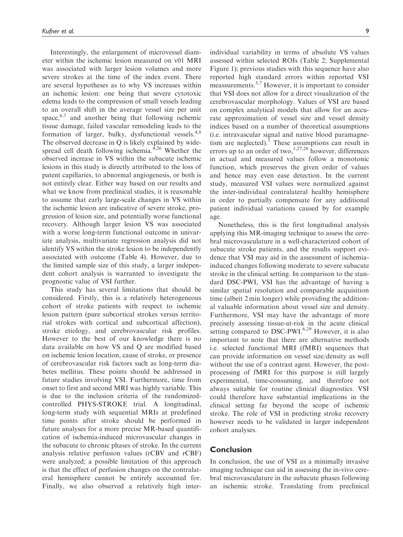Interestingly, the enlargement of microvessel diameter within the ischemic lesion measured on v01 MRI was associated with larger lesion volumes and more severe strokes at the time of the index event. There are several hypotheses as to why VS increases within an ischemic lesion: one being that severe cytotoxic edema leads to the compression of small vessels leading to an overall shift in the average vessel size per unit space,  $6,7$  and another being that following ischemic tissue damage, failed vascular remodeling leads to the formation of larger, bulky, dysfunctional vessels.<sup>4,8</sup> The observed decrease in Q is likely explained by widespread cell death following ischemia. $^{4,26}$  Whether the observed increase in VS within the subacute ischemic lesions in this study is directly attributed to the loss of patent capillaries, to abnormal angiogenesis, or both is not entirely clear. Either way based on our results and what we know from preclinical studies, it is reasonable to assume that early large-scale changes in VS within the ischemic lesion are indicative of severe stroke, progression of lesion size, and potentially worse functional recovery. Although larger lesion VS was associated with a worse long-term functional outcome in univariate analysis, multivariate regression analysis did not identify VS within the stroke lesion to be independently associated with outcome (Table 4). However, due to the limited sample size of this study, a larger independent cohort analysis is warranted to investigate the prognostic value of VSI further.

This study has several limitations that should be considered. Firstly, this is a relatively heterogeneous cohort of stroke patients with respect to ischemic lesion pattern (pure subcortical strokes versus territorial strokes with cortical and subcortical affection), stroke etiology, and cerebrovascular risk profiles. However to the best of our knowledge there is no data available on how VS and Q are modified based on ischemic lesion location, cause of stroke, or presence of cerebrovascular risk factors such as long-term diabetes mellitus. These points should be addressed in future studies involving VSI. Furthermore, time from onset to first and second MRI was highly variable. This is due to the inclusion criteria of the randomizedcontrolled PHYS-STROKE trial. A longitudinal, long-term study with sequential MRIs at predefined time points after stroke should be performed in future analyses for a more precise MR-based quantification of ischemia-induced microvascular changes in the subacute to chronic phases of stroke. In the current analysis relative perfusion values (rCBV and rCBF) were analyzed; a possible limitation of this approach is that the effect of perfusion changes on the contralateral hemisphere cannot be entirely accounted for. Finally, we also observed a relatively high interindividual variability in terms of absolute VS values assessed within selected ROIs (Table 2; Supplemental Figure 1); previous studies with this sequence have also reported high standard errors within reported VSI meassurements.5,7 However, it is important to consider that VSI does not allow for a direct visualization of the cerebrovascular morphology. Values of VSI are based on complex analytical models that allow for an accurate approximation of vessel size and vessel density indices based on a number of theoretical assumptions (i.e. intravascular signal and native blood paramagnetism are neglected).<sup> $1$ </sup> These assumptions can result in errors up to an order of two,<sup>1,27,28</sup> however, differences in actual and measured values follow a monotonic function, which preserves the given order of values and hence may even ease detection. In the current study, measured VSI values were normalized against the inter-individual contralateral healthy hemisphere in order to partially compensate for any additional patient individual variations caused by for example age.

Nonetheless, this is the first longitudinal analysis applying this MR-imaging technique to assess the cerebral microvasculature in a well-characterized cohort of subacute stroke patients, and the results support evidence that VSI may aid in the assessment of ischemiainduced changes following moderate to severe subacute stroke in the clinical setting. In comparison to the standard DSC-PWI, VSI has the advantage of having a similar spatial resolution and comparable acquisition time (albeit 2 min longer) while providing the additional valuable information about vessel size and density. Furthermore, VSI may have the advantage of more precisely assessing tissue-at-risk in the acute clinical setting compared to DSC-PWI.<sup>6,29</sup> However, it is also important to note that there are alternative methods i.e. selected functional MRI (fMRI) sequences that can provide information on vessel size/density as well without the use of a contrast agent. However, the postprocessing of fMRI for this purpose is still largely experimental, time-consuming, and therefore not always suitable for routine clinical diagnostics. VSI could therefore have substantial implications in the clinical setting far beyond the scope of ischemic stroke. The role of VSI in predicting stroke recovery however needs to be validated in larger independent cohort analyses.

## Conclusion

In conclusion, the use of VSI as a minimally invasive imaging technique can aid in assessing the in-vivo cerebral microvasculature in the subacute phases following an ischemic stroke. Translating from preclinical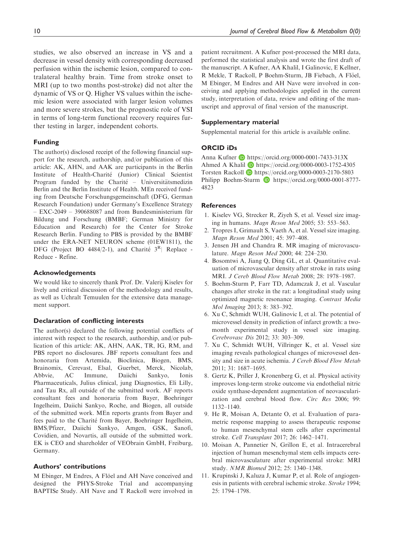studies, we also observed an increase in VS and a decrease in vessel density with corresponding decreased perfusion within the ischemic lesion, compared to contralateral healthy brain. Time from stroke onset to MRI (up to two months post-stroke) did not alter the dynamic of VS or Q. Higher VS values within the ischemic lesion were associated with larger lesion volumes and more severe strokes, but the prognostic role of VSI in terms of long-term functional recovery requires further testing in larger, independent cohorts.

#### Funding

The author(s) disclosed receipt of the following financial support for the research, authorship, and/or publication of this article: AK, AHN, and AAK are participants in the Berlin Institute of Health-Charité (Junior) Clinical Scientist Program funded by the Charité – Universitätsmedizin Berlin and the Berlin Institute of Health. MEn received funding from Deutsche Forschungsgemeinschaft (DFG, German Research Foundation) under Germany's Excellence Strategy  $-$  EXC-2049  $-$  390688087 and from Bundesministerium für Bildung und Forschung (BMBF; German Ministry for Education and Research) for the Center for Stroke Research Berlin. Funding to PBS is provided by the BMBF under the ERA-NET NEURON scheme (01EW1811), the DFG (Project BO 4484/2-1), and Charité  $3^R$  Replace -Reduce - Refine.

#### Acknowledgements

We would like to sincerely thank Prof. Dr. Valerij Kiselev for lively and critical discussion of the methodology and results, as well as Uchralt Temuulen for the extensive data management support.

# Declaration of conflicting interests

The author(s) declared the following potential conflicts of interest with respect to the research, authorship, and/or publication of this article: AK, AHN, AAK, TR, IG, RM, and PBS report no disclosures. JBF reports consultant fees and honoraria from Artemida, Bioclinica, Biogen, BMS, Brainomix, Cerevast, Elsal, Guerbet, Merck, Nicolab, Abbvie, AC Immune, Daiichi Sankyo, Ionis Pharmaceuticals, Julius clinical, jung Diagnostics, Eli Lilly, and Tau Rx, all outside of the submitted work. AF reports consultant fees and honoraria from Bayer, Boehringer Ingelheim, Daiichi Sankyo, Roche, and Biogen, all outside of the submitted work. MEn reports grants from Bayer and fees paid to the Charité from Bayer, Boehringer Ingelheim, BMS/Pfizer, Daiichi Sankyo, Amgen, GSK, Sanofi, Covidien, and Novartis, all outside of the submitted work. EK is CEO and shareholder of VEObrain GmbH, Freiburg, Germany.

#### Authors' contributions

M Ebinger, M Endres, A Flöel and AH Nave conceived and designed the PHYS-Stroke Trial and accompanying BAPTISe Study. AH Nave and T Rackoll were involved in patient recruitment. A Kufner post-processed the MRI data, performed the statistical analysis and wrote the first draft of the manuscript. A Kufner, AA Khalil, I Galinovic, E Kellner, R Mekle, T Rackoll, P Boehm-Sturm, JB Fiebach, A Flöel, M Ebinger, M Endres and AH Nave were involved in conceiving and applying methodologies applied in the current study, interpretation of data, review and editing of the manuscript and approval of final version of the manuscript.

#### Supplementary material

Supplemental material for this article is available online.

### ORCID iDs

Anna Kufner  $\blacksquare$  <https://orcid.org/0000-0001-7433-313X> Ahmed A Khalil D <https://orcid.org/0000-0003-1752-4305> Torsten Rackoll D <https://orcid.org/0000-0003-2170-5803> Philipp Boehm-Sturm **D** [https://orcid.org/0000-0001-8777-](https://orcid.org/0000-0001-8777-4823) [4823](https://orcid.org/0000-0001-8777-4823)

#### **References**

- 1. Kiselev VG, Strecker R, Ziyeh S, et al. Vessel size imaging in humans. Magn Reson Med 2005; 53: 553–563.
- 2. Tropres I, Grimault S, Vaeth A, et al. Vessel size imaging. Magn Reson Med 2001; 45: 397–408.
- 3. Jensen JH and Chandra R. MR imaging of microvasculature. Magn Reson Med 2000; 44: 224–230.
- 4. Bosomtwi A, Jiang Q, Ding GL, et al. Quantitative evaluation of microvascular density after stroke in rats using MRI. J Cereb Blood Flow Metab 2008; 28: 1978–1987.
- 5. Boehm-Sturm P, Farr TD, Adamczak J, et al. Vascular changes after stroke in the rat: a longitudinal study using optimized magnetic resonance imaging. Contrast Media Mol Imaging 2013; 8: 383–392.
- 6. Xu C, Schmidt WUH, Galinovic I, et al. The potential of microvessel density in prediction of infarct growth: a twomonth experimental study in vessel size imaging. Cerebrovasc Dis 2012; 33: 303–309.
- 7. Xu C, Schmidt WUH, Villringer K, et al. Vessel size imaging reveals pathological changes of microvessel density and size in acute ischemia. J Cereb Blood Flow Metab 2011; 31: 1687–1695.
- 8. Gertz K, Priller J, Kronenberg G, et al. Physical activity improves long-term stroke outcome via endothelial nitric oxide synthase-dependent augmentation of neovascularization and cerebral blood flow. Circ Res 2006; 99: 1132–1140.
- 9. He R, Moisan A, Detante O, et al. Evaluation of parametric response mapping to assess therapeutic response to human mesenchymal stem cells after experimental stroke. Cell Transplant 2017; 26: 1462–1471.
- 10. Moisan A, Pannetier N, Grillon E, et al. Intracerebral injection of human mesenchymal stem cells impacts cerebral microvasculature after experimental stroke: MRI study. NMR Biomed 2012; 25: 1340–1348.
- 11. Krupinski J, Kaluza J, Kumar P, et al. Role of angiogenesis in patients with cerebral ischemic stroke. Stroke 1994; 25: 1794–1798.